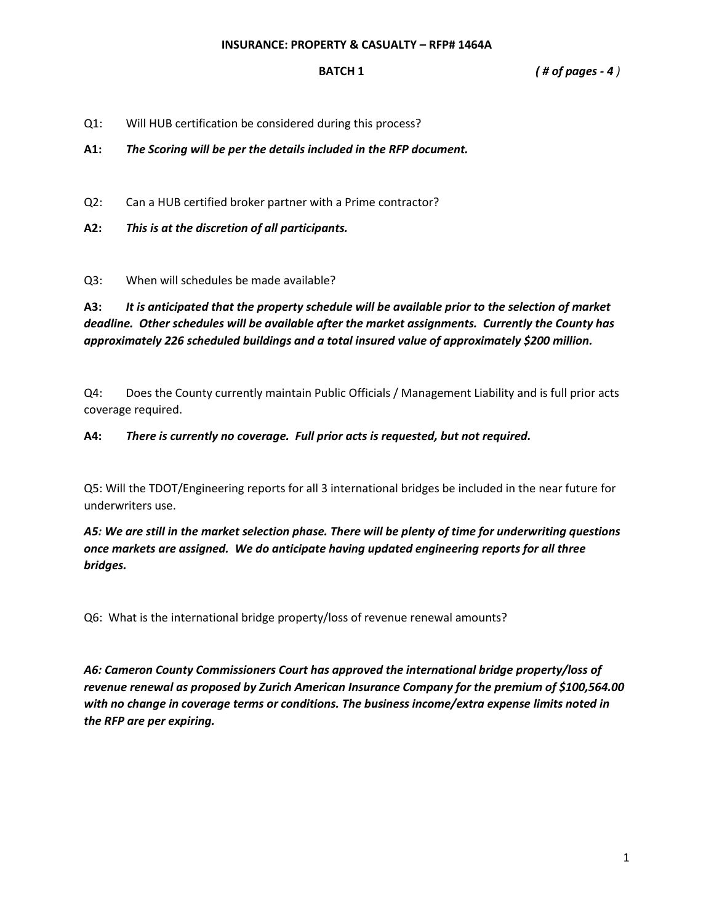**BATCH 1** *( # of pages - 4 )* 

Q1: Will HUB certification be considered during this process?

**A1:** *The Scoring will be per the details included in the RFP document.*

- Q2: Can a HUB certified broker partner with a Prime contractor?
- **A2:** *This is at the discretion of all participants.*

Q3: When will schedules be made available?

**A3:** *It is anticipated that the property schedule will be available prior to the selection of market deadline. Other schedules will be available after the market assignments. Currently the County has approximately 226 scheduled buildings and a total insured value of approximately \$200 million.*

Q4: Does the County currently maintain Public Officials / Management Liability and is full prior acts coverage required.

**A4:** *There is currently no coverage. Full prior acts is requested, but not required.*

Q5: Will the TDOT/Engineering reports for all 3 international bridges be included in the near future for underwriters use.

*A5: We are still in the market selection phase. There will be plenty of time for underwriting questions once markets are assigned. We do anticipate having updated engineering reports for all three bridges.*

Q6: What is the international bridge property/loss of revenue renewal amounts?

*A6: Cameron County Commissioners Court has approved the international bridge property/loss of revenue renewal as proposed by Zurich American Insurance Company for the premium of \$100,564.00 with no change in coverage terms or conditions. The business income/extra expense limits noted in the RFP are per expiring.*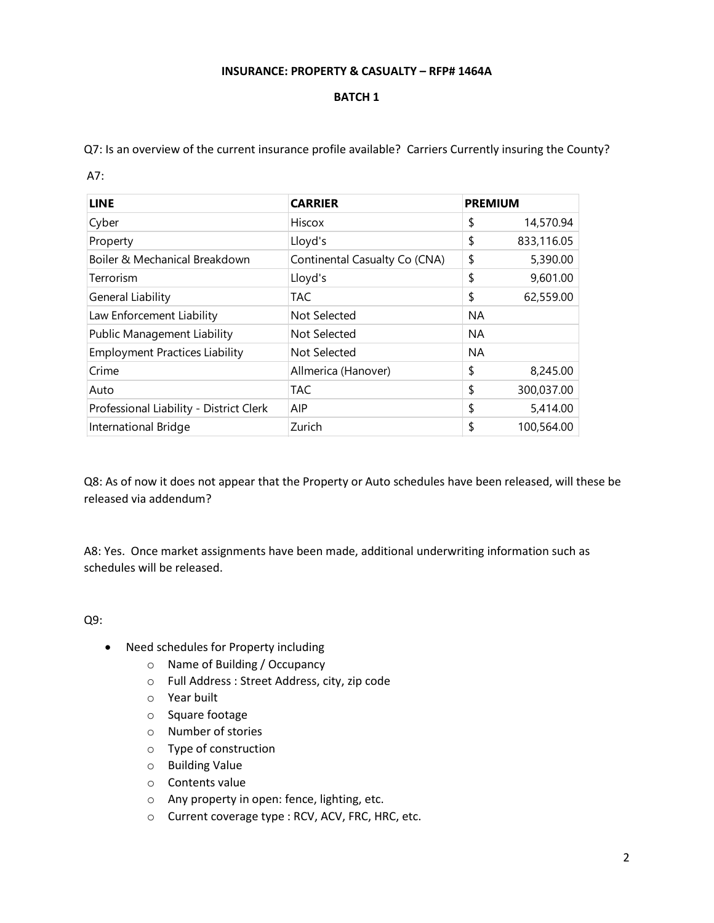## **INSURANCE: PROPERTY & CASUALTY – RFP# 1464A**

## **BATCH 1**

Q7: Is an overview of the current insurance profile available? Carriers Currently insuring the County?

A7:

| <b>LINE</b>                             | <b>CARRIER</b>                | <b>PREMIUM</b> |            |
|-----------------------------------------|-------------------------------|----------------|------------|
| Cyber                                   | Hiscox                        | \$             | 14,570.94  |
| Property                                | Lloyd's                       | \$             | 833,116.05 |
| Boiler & Mechanical Breakdown           | Continental Casualty Co (CNA) | \$             | 5,390.00   |
| Terrorism                               | Lloyd's                       | \$             | 9,601.00   |
| General Liability                       | <b>TAC</b>                    | \$             | 62,559.00  |
| Law Enforcement Liability               | Not Selected                  | <b>NA</b>      |            |
| <b>Public Management Liability</b>      | Not Selected                  | <b>NA</b>      |            |
| <b>Employment Practices Liability</b>   | Not Selected                  | <b>NA</b>      |            |
| Crime                                   | Allmerica (Hanover)           | \$             | 8,245.00   |
| Auto                                    | <b>TAC</b>                    | \$             | 300,037.00 |
| Professional Liability - District Clerk | AIP                           | \$             | 5,414.00   |
| International Bridge                    | Zurich                        | \$             | 100,564.00 |

Q8: As of now it does not appear that the Property or Auto schedules have been released, will these be released via addendum?

A8: Yes. Once market assignments have been made, additional underwriting information such as schedules will be released.

Q9:

- Need schedules for Property including
	- o Name of Building / Occupancy
	- o Full Address : Street Address, city, zip code
	- o Year built
	- o Square footage
	- o Number of stories
	- o Type of construction
	- o Building Value
	- o Contents value
	- o Any property in open: fence, lighting, etc.
	- o Current coverage type : RCV, ACV, FRC, HRC, etc.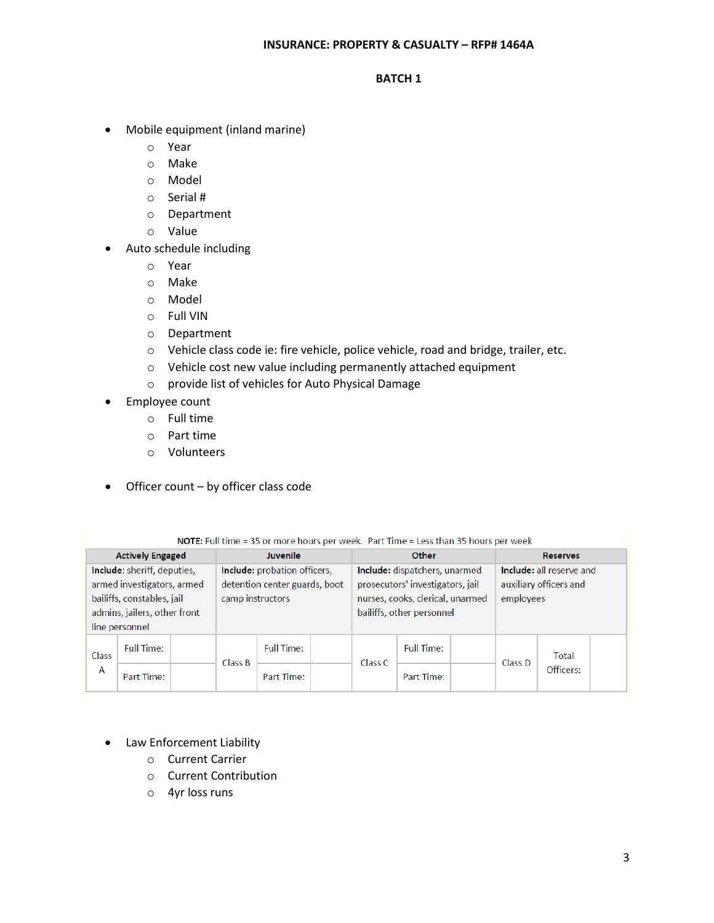# **BATCH 1**

- Mobile equipment (inland marine)
	- o Year
	- o Make
	- o Model
	- o Serial #
	- o Department
	- o Value
- Auto schedule including
	- o Year
	- o Make
	- o Model
	- o Full VIN
	- o Department
	- o Vehicle class code ie: fire vehicle, police vehicle, road and bridge, trailer, etc.
	- o Vehicle cost new value including permanently attached equipment
	- o provide list of vehicles for Auto Physical Damage
- Employee count
	- o Full time
	- o Part time
	- o Volunteers
- Officer count by officer class code

NOTE: Full time = 35 or more hours per week. Part Time = Less than 35 hours per week

| <b>Actively Engaged</b>      |                   | Juvenile                      |         | Other                            |  |                        | <b>Reserves</b>          |  |         |                    |  |
|------------------------------|-------------------|-------------------------------|---------|----------------------------------|--|------------------------|--------------------------|--|---------|--------------------|--|
| Include: sheriff, deputies,  |                   | Include: probation officers,  |         | Include: dispatchers, unarmed    |  |                        | Include: all reserve and |  |         |                    |  |
| armed investigators, armed   |                   | detention center guards, boot |         | prosecutors' investigators, jail |  | auxiliary officers and |                          |  |         |                    |  |
| bailiffs, constables, jail   |                   | camp instructors              |         | nurses, cooks, clerical, unarmed |  | employees              |                          |  |         |                    |  |
| admins, jailers, other front |                   |                               |         | bailiffs, other personnel        |  |                        |                          |  |         |                    |  |
| line personnel               |                   |                               |         |                                  |  |                        |                          |  |         |                    |  |
| Class<br>A                   | <b>Full Time:</b> |                               | Class B | <b>Full Time:</b>                |  | Class C                | <b>Full Time:</b>        |  | Class D | Total<br>Officers: |  |
|                              | Part Time:        |                               |         | Part Time:                       |  |                        | Part Time:               |  |         |                    |  |

- Law Enforcement Liability
	- o Current Carrier
	- o Current Contribution
	- o 4yr loss runs